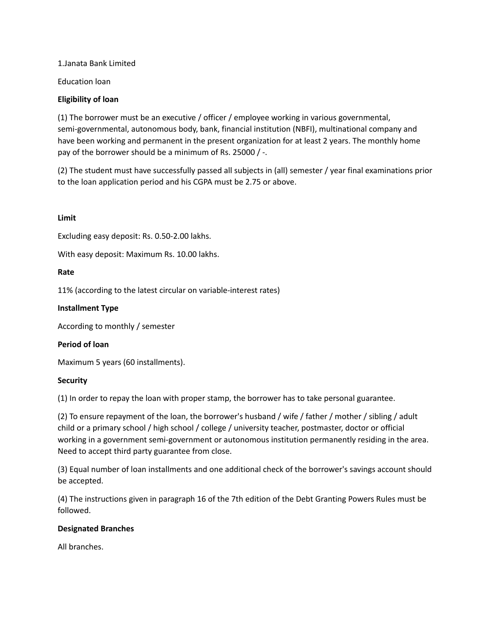1.Janata Bank Limited

Education loan

## **Eligibility of loan**

(1) The borrower must be an executive / officer / employee working in various governmental, semi-governmental, autonomous body, bank, financial institution (NBFI), multinational company and have been working and permanent in the present organization for at least 2 years. The monthly home pay of the borrower should be a minimum of Rs. 25000 / -.

(2) The student must have successfully passed all subjects in (all) semester / year final examinations prior to the loan application period and his CGPA must be 2.75 or above.

## **Limit**

Excluding easy deposit: Rs. 0.50-2.00 lakhs.

With easy deposit: Maximum Rs. 10.00 lakhs.

## **Rate**

11% (according to the latest circular on variable-interest rates)

# **Installment Type**

According to monthly / semester

## **Period of loan**

Maximum 5 years (60 installments).

## **Security**

(1) In order to repay the loan with proper stamp, the borrower has to take personal guarantee.

(2) To ensure repayment of the loan, the borrower's husband / wife / father / mother / sibling / adult child or a primary school / high school / college / university teacher, postmaster, doctor or official working in a government semi-government or autonomous institution permanently residing in the area. Need to accept third party guarantee from close.

(3) Equal number of loan installments and one additional check of the borrower's savings account should be accepted.

(4) The instructions given in paragraph 16 of the 7th edition of the Debt Granting Powers Rules must be followed.

## **Designated Branches**

All branches.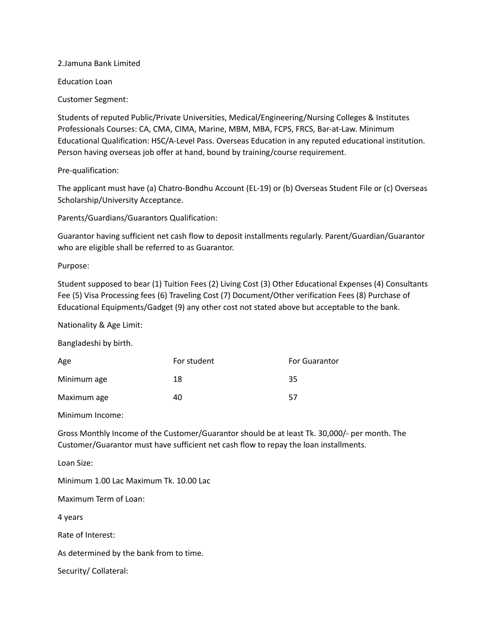2.Jamuna Bank Limited

Education Loan

Customer Segment:

Students of reputed Public/Private Universities, Medical/Engineering/Nursing Colleges & Institutes Professionals Courses: CA, CMA, CIMA, Marine, MBM, MBA, FCPS, FRCS, Bar-at-Law. Minimum Educational Qualification: HSC/A-Level Pass. Overseas Education in any reputed educational institution. Person having overseas job offer at hand, bound by training/course requirement.

Pre-qualification:

The applicant must have (a) Chatro-Bondhu Account (EL-19) or (b) Overseas Student File or (c) Overseas Scholarship/University Acceptance.

Parents/Guardians/Guarantors Qualification:

Guarantor having sufficient net cash flow to deposit installments regularly. Parent/Guardian/Guarantor who are eligible shall be referred to as Guarantor.

Purpose:

Student supposed to bear (1) Tuition Fees (2) Living Cost (3) Other Educational Expenses (4) Consultants Fee (5) Visa Processing fees (6) Traveling Cost (7) Document/Other verification Fees (8) Purchase of Educational Equipments/Gadget (9) any other cost not stated above but acceptable to the bank.

Nationality & Age Limit:

Bangladeshi by birth.

| Age         | For student | For Guarantor |
|-------------|-------------|---------------|
| Minimum age | 18          | 35            |
| Maximum age | 40          | 57            |

Minimum Income:

Gross Monthly Income of the Customer/Guarantor should be at least Tk. 30,000/- per month. The Customer/Guarantor must have sufficient net cash flow to repay the loan installments.

Loan Size:

Minimum 1.00 Lac Maximum Tk. 10.00 Lac

Maximum Term of Loan:

4 years

Rate of Interest:

As determined by the bank from to time.

Security/ Collateral: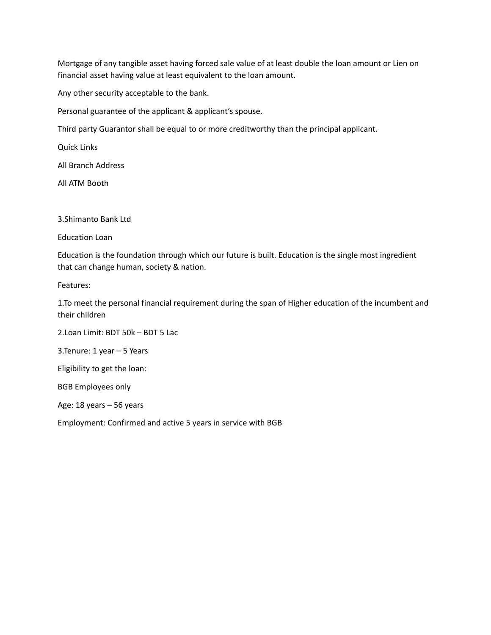Mortgage of any tangible asset having forced sale value of at least double the loan amount or Lien on financial asset having value at least equivalent to the loan amount.

Any other security acceptable to the bank.

Personal guarantee of the applicant & applicant's spouse.

Third party Guarantor shall be equal to or more creditworthy than the principal applicant.

Quick Links

All Branch Address

All ATM Booth

3.Shimanto Bank Ltd

Education Loan

Education is the foundation through which our future is built. Education is the single most ingredient that can change human, society & nation.

Features:

1.To meet the personal financial requirement during the span of Higher education of the incumbent and their children

2.Loan Limit: BDT 50k – BDT 5 Lac 3.Tenure: 1 year – 5 Years Eligibility to get the loan: BGB Employees only Age: 18 years – 56 years

Employment: Confirmed and active 5 years in service with BGB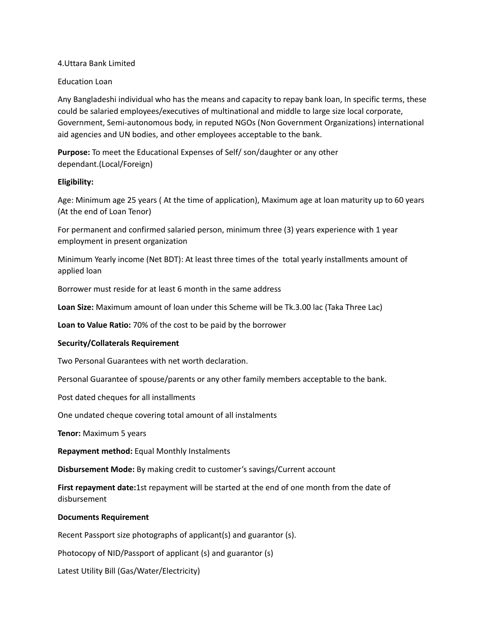### 4.Uttara Bank Limited

### Education Loan

Any Bangladeshi individual who has the means and capacity to repay bank loan, In specific terms, these could be salaried employees/executives of multinational and middle to large size local corporate, Government, Semi-autonomous body, in reputed NGOs (Non Government Organizations) international aid agencies and UN bodies, and other employees acceptable to the bank.

**Purpose:** To meet the Educational Expenses of Self/ son/daughter or any other dependant.(Local/Foreign)

### **Eligibility:**

Age: Minimum age 25 years ( At the time of application), Maximum age at loan maturity up to 60 years (At the end of Loan Tenor)

For permanent and confirmed salaried person, minimum three (3) years experience with 1 year employment in present organization

Minimum Yearly income (Net BDT): At least three times of the total yearly installments amount of applied loan

Borrower must reside for at least 6 month in the same address

**Loan Size:** Maximum amount of loan under this Scheme will be Tk.3.00 lac (Taka Three Lac)

**Loan to Value Ratio:** 70% of the cost to be paid by the borrower

#### **Security/Collaterals Requirement**

Two Personal Guarantees with net worth declaration.

Personal Guarantee of spouse/parents or any other family members acceptable to the bank.

Post dated cheques for all installments

One undated cheque covering total amount of all instalments

**Tenor:** Maximum 5 years

**Repayment method:** Equal Monthly Instalments

**Disbursement Mode:** By making credit to customer's savings/Current account

**First repayment date:**1st repayment will be started at the end of one month from the date of disbursement

#### **Documents Requirement**

Recent Passport size photographs of applicant(s) and guarantor (s).

Photocopy of NID/Passport of applicant (s) and guarantor (s)

Latest Utility Bill (Gas/Water/Electricity)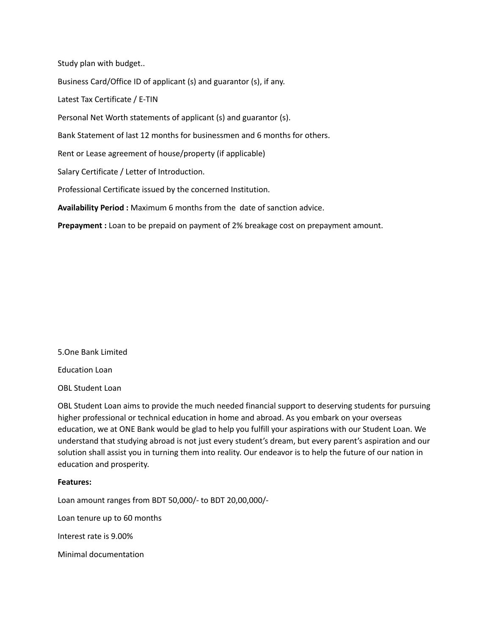Study plan with budget..

Business Card/Office ID of applicant (s) and guarantor (s), if any.

Latest Tax Certificate / E-TIN

Personal Net Worth statements of applicant (s) and guarantor (s).

Bank Statement of last 12 months for businessmen and 6 months for others.

Rent or Lease agreement of house/property (if applicable)

Salary Certificate / Letter of Introduction.

Professional Certificate issued by the concerned Institution.

**Availability Period :** Maximum 6 months from the date of sanction advice.

**Prepayment :** Loan to be prepaid on payment of 2% breakage cost on prepayment amount.

#### 5.One Bank Limited

Education Loan

OBL Student Loan

OBL Student Loan aims to provide the much needed financial support to deserving students for pursuing higher professional or technical education in home and abroad. As you embark on your overseas education, we at ONE Bank would be glad to help you fulfill your aspirations with our Student Loan. We understand that studying abroad is not just every student's dream, but every parent's aspiration and our solution shall assist you in turning them into reality. Our endeavor is to help the future of our nation in education and prosperity.

#### **Features:**

Loan amount ranges from BDT 50,000/- to BDT 20,00,000/-

Loan tenure up to 60 months

Interest rate is 9.00%

Minimal documentation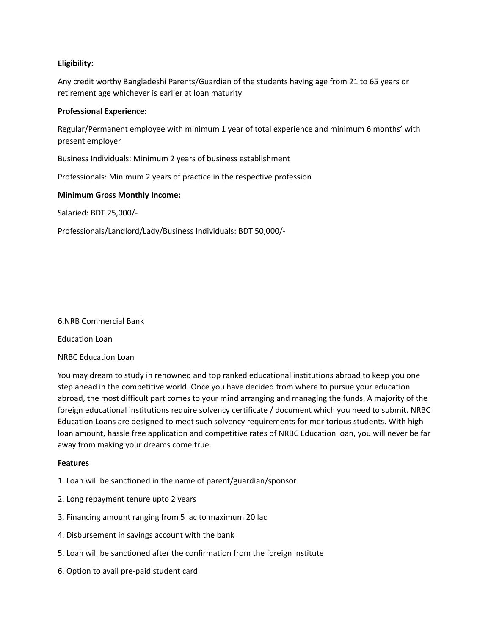# **Eligibility:**

Any credit worthy Bangladeshi Parents/Guardian of the students having age from 21 to 65 years or retirement age whichever is earlier at loan maturity

### **Professional Experience:**

Regular/Permanent employee with minimum 1 year of total experience and minimum 6 months' with present employer

Business Individuals: Minimum 2 years of business establishment

Professionals: Minimum 2 years of practice in the respective profession

### **Minimum Gross Monthly Income:**

Salaried: BDT 25,000/-

Professionals/Landlord/Lady/Business Individuals: BDT 50,000/-

#### 6.NRB Commercial Bank

Education Loan

## NRBC Education Loan

You may dream to study in renowned and top ranked educational institutions abroad to keep you one step ahead in the competitive world. Once you have decided from where to pursue your education abroad, the most difficult part comes to your mind arranging and managing the funds. A majority of the foreign educational institutions require solvency certificate / document which you need to submit. NRBC Education Loans are designed to meet such solvency requirements for meritorious students. With high loan amount, hassle free application and competitive rates of NRBC Education loan, you will never be far away from making your dreams come true.

#### **Features**

- 1. Loan will be sanctioned in the name of parent/guardian/sponsor
- 2. Long repayment tenure upto 2 years
- 3. Financing amount ranging from 5 lac to maximum 20 lac
- 4. Disbursement in savings account with the bank
- 5. Loan will be sanctioned after the confirmation from the foreign institute
- 6. Option to avail pre-paid student card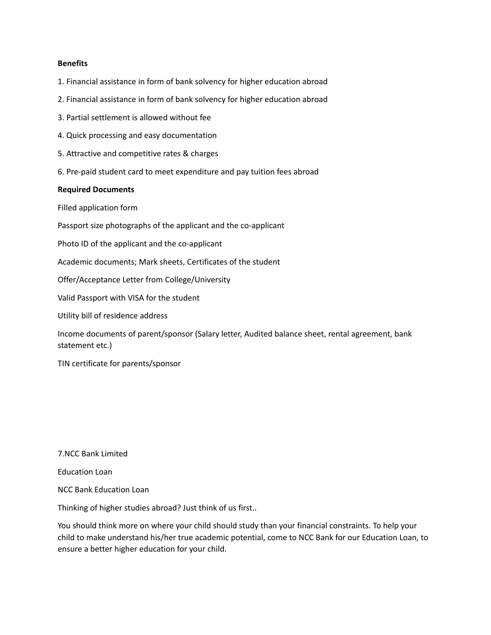#### **Benefits**

- 1. Financial assistance in form of bank solvency for higher education abroad
- 2. Financial assistance in form of bank solvency for higher education abroad
- 3. Partial settlement is allowed without fee
- 4. Quick processing and easy documentation
- 5. Attractive and competitive rates & charges
- 6. Pre-paid student card to meet expenditure and pay tuition fees abroad

#### **Required Documents**

Filled application form

Passport size photographs of the applicant and the co-applicant

Photo ID of the applicant and the co-applicant

Academic documents; Mark sheets, Certificates of the student

Offer/Acceptance Letter from College/University

Valid Passport with VISA for the student

Utility bill of residence address

Income documents of parent/sponsor (Salary letter, Audited balance sheet, rental agreement, bank statement etc.)

TIN certificate for parents/sponsor

7.NCC Bank Limited

Education Loan

NCC Bank Education Loan

Thinking of higher studies abroad? Just think of us first..

You should think more on where your child should study than your financial constraints. To help your child to make understand his/her true academic potential, come to NCC Bank for our Education Loan, to ensure a better higher education for your child.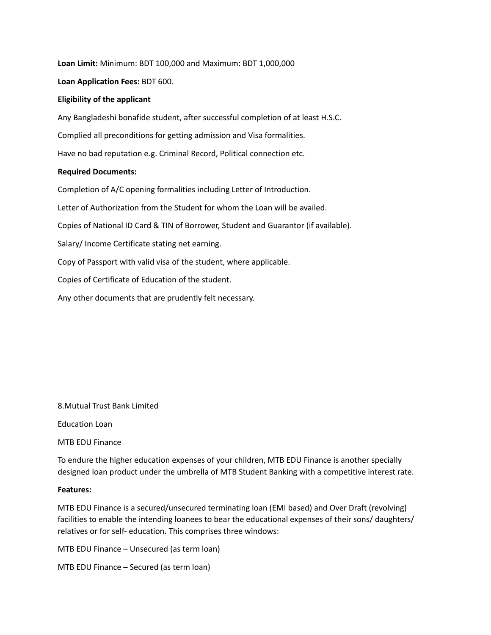**Loan Limit:** Minimum: BDT 100,000 and Maximum: BDT 1,000,000

**Loan Application Fees:** BDT 600.

### **Eligibility of the applicant**

Any Bangladeshi bonafide student, after successful completion of at least H.S.C. Complied all preconditions for getting admission and Visa formalities. Have no bad reputation e.g. Criminal Record, Political connection etc.

## **Required Documents:**

Completion of A/C opening formalities including Letter of Introduction. Letter of Authorization from the Student for whom the Loan will be availed. Copies of National ID Card & TIN of Borrower, Student and Guarantor (if available). Salary/ Income Certificate stating net earning. Copy of Passport with valid visa of the student, where applicable. Copies of Certificate of Education of the student. Any other documents that are prudently felt necessary.

8.Mutual Trust Bank Limited

Education Loan

MTB EDU Finance

To endure the higher education expenses of your children, MTB EDU Finance is another specially designed loan product under the umbrella of MTB Student Banking with a competitive interest rate.

#### **Features:**

MTB EDU Finance is a secured/unsecured terminating loan (EMI based) and Over Draft (revolving) facilities to enable the intending loanees to bear the educational expenses of their sons/ daughters/ relatives or for self- education. This comprises three windows:

MTB EDU Finance – Unsecured (as term loan)

MTB EDU Finance – Secured (as term loan)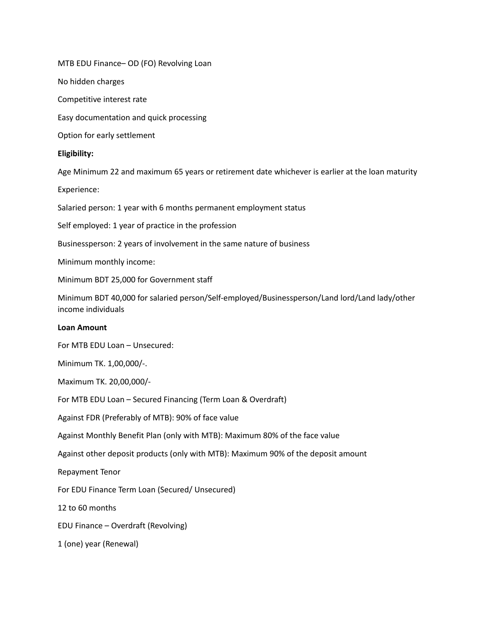MTB EDU Finance– OD (FO) Revolving Loan

No hidden charges

Competitive interest rate

Easy documentation and quick processing

Option for early settlement

### **Eligibility:**

Age Minimum 22 and maximum 65 years or retirement date whichever is earlier at the loan maturity

Experience:

Salaried person: 1 year with 6 months permanent employment status

Self employed: 1 year of practice in the profession

Businessperson: 2 years of involvement in the same nature of business

Minimum monthly income:

Minimum BDT 25,000 for Government staff

Minimum BDT 40,000 for salaried person/Self-employed/Businessperson/Land lord/Land lady/other income individuals

# **Loan Amount**

For MTB EDU Loan – Unsecured:

Minimum TK. 1,00,000/-.

Maximum TK. 20,00,000/-

For MTB EDU Loan – Secured Financing (Term Loan & Overdraft)

Against FDR (Preferably of MTB): 90% of face value

Against Monthly Benefit Plan (only with MTB): Maximum 80% of the face value

Against other deposit products (only with MTB): Maximum 90% of the deposit amount

Repayment Tenor

For EDU Finance Term Loan (Secured/ Unsecured)

12 to 60 months

EDU Finance – Overdraft (Revolving)

1 (one) year (Renewal)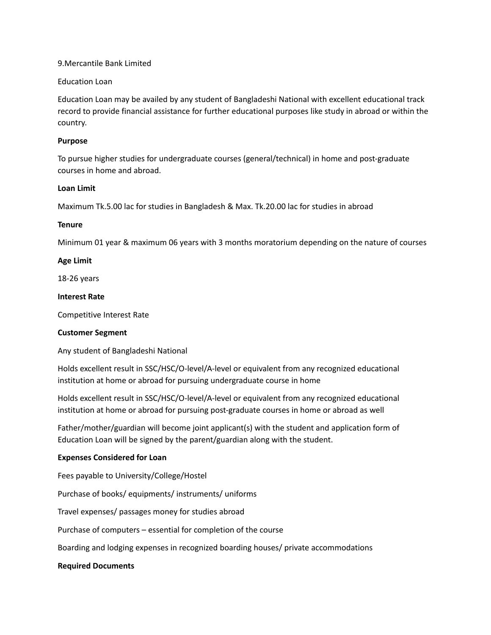#### 9.Mercantile Bank Limited

### Education Loan

Education Loan may be availed by any student of Bangladeshi National with excellent educational track record to provide financial assistance for further educational purposes like study in abroad or within the country.

### **Purpose**

To pursue higher studies for undergraduate courses (general/technical) in home and post-graduate courses in home and abroad.

### **Loan Limit**

Maximum Tk.5.00 lac for studies in Bangladesh & Max. Tk.20.00 lac for studies in abroad

### **Tenure**

Minimum 01 year & maximum 06 years with 3 months moratorium depending on the nature of courses

## **Age Limit**

18-26 years

### **Interest Rate**

Competitive Interest Rate

## **Customer Segment**

Any student of Bangladeshi National

Holds excellent result in SSC/HSC/O-level/A-level or equivalent from any recognized educational institution at home or abroad for pursuing undergraduate course in home

Holds excellent result in SSC/HSC/O-level/A-level or equivalent from any recognized educational institution at home or abroad for pursuing post-graduate courses in home or abroad as well

Father/mother/guardian will become joint applicant(s) with the student and application form of Education Loan will be signed by the parent/guardian along with the student.

## **Expenses Considered for Loan**

Fees payable to University/College/Hostel

Purchase of books/ equipments/ instruments/ uniforms

Travel expenses/ passages money for studies abroad

Purchase of computers – essential for completion of the course

Boarding and lodging expenses in recognized boarding houses/ private accommodations

#### **Required Documents**